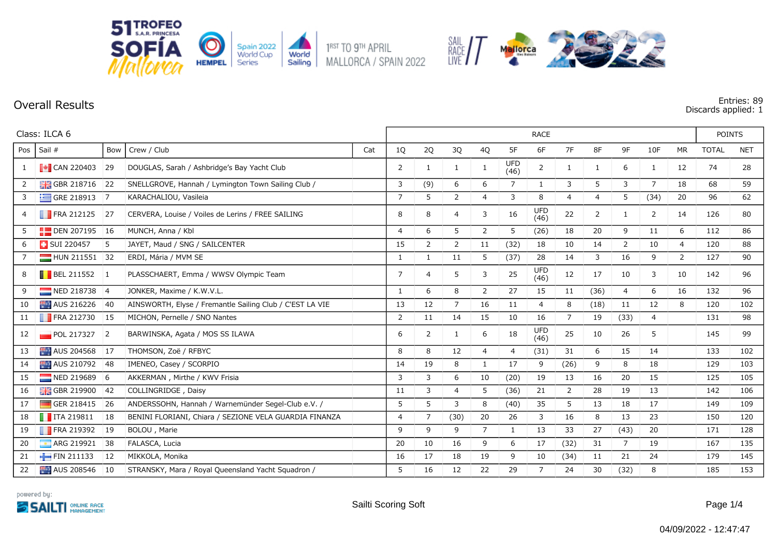

**Overall Results Entries: 89 Discards applied: 1**

| Class: ILCA 6  |                                                               |                 |                                                          |     |              | <b>RACE</b>    |                |                |                    |                    |                |                |                |                |              |              |            |
|----------------|---------------------------------------------------------------|-----------------|----------------------------------------------------------|-----|--------------|----------------|----------------|----------------|--------------------|--------------------|----------------|----------------|----------------|----------------|--------------|--------------|------------|
| Pos            | Sail #                                                        | Bow             | Crew / Club                                              | Cat | 1Q           | $2Q$           | 3Q             | 4Q             | 5F                 | 6F                 | 7F             | 8F             | 9F             | 10F            | <b>MR</b>    | <b>TOTAL</b> | <b>NET</b> |
|                | $\begin{bmatrix} \bullet \\ \bullet \end{bmatrix}$ CAN 220403 | 29              | DOUGLAS, Sarah / Ashbridge's Bay Yacht Club              |     | 2            | 1              | $\mathbf{1}$   | $\mathbf{1}$   | <b>UFD</b><br>(46) | $\overline{2}$     | $\mathbf{1}$   | $\mathbf{1}$   | 6              | 1              | 12           | 74           | 28         |
| $\overline{2}$ | <b>H</b> GBR 218716 22                                        |                 | SNELLGROVE, Hannah / Lymington Town Sailing Club /       |     | 3            | (9)            | 6              | 6              | $\overline{7}$     | 1                  | 3              | 5              | 3              | $\overline{7}$ | 18           | 68           | 59         |
| 3              | GRE 218913 7                                                  |                 | KARACHALIOU, Vasileia                                    |     | 7            | 5              | $\overline{2}$ | 4              | 3                  | 8                  | 4              | $\overline{4}$ | 5              | (34)           | 20           | 96           | 62         |
| $\overline{4}$ | $\blacksquare$ FRA 212125                                     | 27              | CERVERA, Louise / Voiles de Lerins / FREE SAILING        |     | 8            | 8              | 4              | 3              | 16                 | <b>UFD</b><br>(46) | 22             | $\overline{2}$ | 1              | $\overline{2}$ | 14           | 126          | 80         |
| 5              | $\Box$ DEN 207195 16                                          |                 | MUNCH, Anna / Kbl                                        |     | 4            | 6              | 5              | $\overline{2}$ | 5                  | (26)               | 18             | 20             | 9              | 11             | 6            | 112          | 86         |
| 6              | SUI 220457                                                    | -5              | JAYET, Maud / SNG / SAILCENTER                           |     | 15           | 2              | $\overline{2}$ | 11             | (32)               | 18                 | 10             | 14             | 2              | 10             | 4            | 120          | 88         |
| 7              | $HUN 211551$ 32                                               |                 | ERDI, Mária / MVM SE                                     |     | 1            | $\mathbf{1}$   | 11             | 5              | (37)               | 28                 | 14             | 3              | 16             | 9              | $\mathbf{2}$ | 127          | 90         |
| 8              | <b>BEL 211552</b> 1                                           |                 | PLASSCHAERT, Emma / WWSV Olympic Team                    |     | 7            | $\overline{4}$ | 5              | 3              | 25                 | <b>UFD</b><br>(46) | 12             | 17             | 10             | 3              | 10           | 142          | 96         |
| 9              | NED 218738 4                                                  |                 | JONKER, Maxime / K.W.V.L.                                |     | $\mathbf{1}$ | 6              | 8              | $\overline{2}$ | 27                 | 15                 | 11             | (36)           | $\overline{4}$ | 6              | 16           | 132          | 96         |
| 10             | AUS 216226                                                    | 40              | AINSWORTH, Elyse / Fremantle Sailing Club / C'EST LA VIE |     | 13           | 12             | $\overline{7}$ | 16             | 11                 | $\overline{4}$     | 8              | (18)           | 11             | 12             | 8            | 120          | 102        |
| 11             | FRA 212730 15                                                 |                 | MICHON, Pernelle / SNO Nantes                            |     | 2            | 11             | 14             | 15             | 10                 | 16                 | $\overline{7}$ | 19             | (33)           | 4              |              | 131          | 98         |
| 12             | $\blacksquare$ POL 217327                                     | $\vert 2 \vert$ | BARWINSKA, Agata / MOS SS ILAWA                          |     | 6            | $\overline{2}$ | 1              | 6              | 18                 | <b>UFD</b><br>(46) | 25             | 10             | 26             | 5              |              | 145          | 99         |
| 13             | AUS 204568                                                    | 17              | THOMSON, Zoë / RFBYC                                     |     | 8            | 8              | 12             | 4              | 4                  | (31)               | 31             | 6              | 15             | 14             |              | 133          | 102        |
| 14             | AUS 210792                                                    | <b>48</b>       | IMENEO, Casey / SCORPIO                                  |     | 14           | 19             | 8              | $\mathbf{1}$   | 17                 | 9                  | (26)           | 9              | 8              | 18             |              | 129          | 103        |
| 15             | NED 219689 6                                                  |                 | AKKERMAN, Mirthe / KWV Frisia                            |     | 3            | 3              | 6              | 10             | (20)               | 19                 | 13             | 16             | 20             | 15             |              | 125          | 105        |
| 16             | $\frac{1}{200}$ GBR 219900                                    | 42              | COLLINGRIDGE, Daisy                                      |     | 11           | 3              | 4              | 5              | (36)               | 21                 | $\overline{2}$ | 28             | 19             | 13             |              | 142          | 106        |
| 17             | GER 218415                                                    | <sup>26</sup>   | ANDERSSOHN, Hannah / Warnemünder Segel-Club e.V. /       |     | 5            | 5              | 3              | 8              | (40)               | 35                 | 5              | 13             | 18             | 17             |              | 149          | 109        |
| 18             | $\blacksquare$ ITA 219811                                     | 18              | BENINI FLORIANI, Chiara / SEZIONE VELA GUARDIA FINANZA   |     | 4            | $\overline{7}$ | (30)           | 20             | 26                 | 3                  | 16             | 8              | 13             | 23             |              | 150          | 120        |
| 19             | <b>FRA 219392</b>                                             | 19              | BOLOU, Marie                                             |     | 9            | 9              | 9              | $\overline{7}$ | 1                  | 13                 | 33             | 27             | (43)           | 20             |              | 171          | 128        |
| 20             | ARG 219921                                                    | 38              | FALASCA, Lucia                                           |     | 20           | 10             | 16             | 9              | 6                  | 17                 | (32)           | 31             | $\overline{7}$ | 19             |              | 167          | 135        |
| 21             | FIN 211133                                                    | 12              | MIKKOLA, Monika                                          |     | 16           | 17             | 18             | 19             | 9                  | 10                 | (34)           | 11             | 21             | 24             |              | 179          | 145        |
| 22             | AUS 208546                                                    | 10              | STRANSKY, Mara / Royal Queensland Yacht Squadron /       |     | 5            | 16             | 12             | 22             | 29                 | 7                  | 24             | 30             | (32)           | 8              |              | 185          | 153        |

SAIL<br>RACE / /

Mallorca

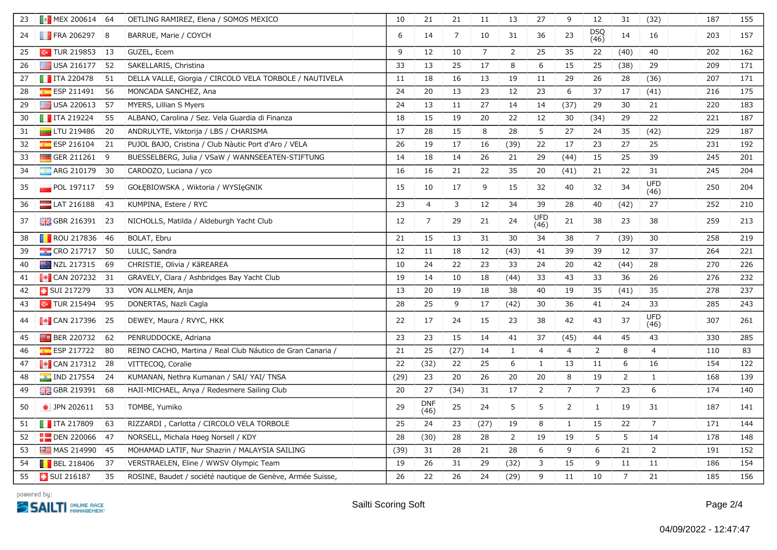| 23 | $\sqrt{3}$ MEX 200614 64  |                | OETLING RAMIREZ, Elena / SOMOS MEXICO                      | 10   | 21                 | 21             | 11             | 13             | 27                 | 9              | 12             | 31             | (32)               | 187 | 155 |
|----|---------------------------|----------------|------------------------------------------------------------|------|--------------------|----------------|----------------|----------------|--------------------|----------------|----------------|----------------|--------------------|-----|-----|
| 24 | $\blacksquare$ FRA 206297 | 8              | BARRUE, Marie / COYCH                                      | 6    | 14                 | $\overline{7}$ | 10             | 31             | 36                 | 23             | DSQ<br>(46)    | 14             | 16                 | 203 | 157 |
| 25 | $\sim$ TUR 219853         | 13             | GUZEL, Ecem                                                | 9    | 12                 | 10             | $\overline{7}$ | $\overline{2}$ | 25                 | 35             | 22             | (40)           | 40                 | 202 | 162 |
| 26 | $\equiv$ USA 216177       | 52             | SAKELLARIS, Christina                                      | 33   | 13                 | 25             | 17             | 8              | 6                  | 15             | 25             | (38)           | 29                 | 209 | 171 |
| 27 | $\blacksquare$ ITA 220478 | 51             | DELLA VALLE, Giorgia / CIRCOLO VELA TORBOLE / NAUTIVELA    | 11   | 18                 | 16             | 13             | 19             | 11                 | 29             | 26             | 28             | (36)               | 207 | 171 |
| 28 | $E$ ESP 211491            | 56             | MONCADA SANCHEZ, Ana                                       | 24   | 20                 | 13             | 23             | 12             | 23                 | 6              | 37             | 17             | (41)               | 216 | 175 |
| 29 | $\blacksquare$ USA 220613 | 57             | MYERS, Lillian S Myers                                     | 24   | 13                 | 11             | 27             | 14             | 14                 | (37)           | 29             | 30             | 21                 | 220 | 183 |
| 30 | $\blacksquare$ ITA 219224 | 55             | ALBANO, Carolina / Sez. Vela Guardia di Finanza            | 18   | 15                 | 19             | 20             | 22             | 12                 | 30             | (34)           | 29             | 22                 | 221 | 187 |
| 31 | <b>LTU 219486</b>         | 20             | ANDRULYTE, Viktorija / LBS / CHARISMA                      | 17   | 28                 | 15             | $\,8\,$        | 28             | 5                  | 27             | 24             | 35             | (42)               | 229 | 187 |
| 32 | $E = ESP 216104$          | 21             | PUJOL BAJO, Cristina / Club Nàutic Port d'Aro / VELA       | 26   | 19                 | 17             | 16             | (39)           | 22                 | 17             | 23             | 27             | 25                 | 231 | 192 |
| 33 | GER 211261                | $\overline{9}$ | BUESSELBERG, Julia / VSaW / WANNSEEATEN-STIFTUNG           | 14   | 18                 | 14             | 26             | 21             | 29                 | (44)           | 15             | 25             | 39                 | 245 | 201 |
| 34 | ARG 210179                | 30             | CARDOZO, Luciana / yco                                     | 16   | 16                 | 21             | 22             | 35             | 20                 | (41)           | 21             | 22             | 31                 | 245 | 204 |
| 35 | $\Box$ POL 197117         | 59             | GOŁĘBIOWSKA, Wiktoria / WYSIęGNIK                          | 15   | 10                 | 17             | 9              | 15             | 32                 | 40             | 32             | 34             | <b>UFD</b><br>(46) | 250 | 204 |
| 36 | $LAT$ 216188              | 43             | KUMPINA, Estere / RYC                                      | 23   | $\overline{4}$     | 3              | 12             | 34             | 39                 | 28             | 40             | (42)           | 27                 | 252 | 210 |
| 37 | $\frac{1}{26}$ GBR 216391 | 23             | NICHOLLS, Matilda / Aldeburgh Yacht Club                   | 12   | $\overline{7}$     | 29             | 21             | 24             | <b>UFD</b><br>(46) | 21             | 38             | 23             | 38                 | 259 | 213 |
| 38 | $\blacksquare$ ROU 217836 | 46             | BOLAT, Ebru                                                | 21   | 15                 | 13             | 31             | 30             | 34                 | 38             | $\overline{7}$ | (39)           | 30                 | 258 | 219 |
| 39 | CRO 217717                | 50             | LULIC, Sandra                                              | 12   | 11                 | 18             | 12             | (43)           | 41                 | 39             | 39             | 12             | 37                 | 264 | 221 |
| 40 | NZL 217315                | 69             | CHRISTIE, Olivia / KāREAREA                                | 10   | 24                 | 22             | 23             | 33             | 24                 | 20             | 42             | (44)           | 28                 | 270 | 226 |
| 41 | $\sim$ CAN 207232         | 31             | GRAVELY, Clara / Ashbridges Bay Yacht Club                 | 19   | 14                 | 10             | 18             | (44)           | 33                 | 43             | 33             | 36             | 26                 | 276 | 232 |
| 42 | <b>SUI 217279</b>         | 33             | VON ALLMEN, Anja                                           | 13   | 20                 | 19             | 18             | 38             | 40                 | 19             | 35             | (41)           | 35                 | 278 | 237 |
| 43 | $\sim$ TUR 215494         | 95             | DONERTAS, Nazli Cagla                                      | 28   | 25                 | 9              | 17             | (42)           | 30                 | 36             | 41             | 24             | 33                 | 285 | 243 |
| 44 | $\sim$ CAN 217396 25      |                | DEWEY, Maura / RVYC, HKK                                   | 22   | 17                 | 24             | 15             | 23             | 38                 | 42             | 43             | 37             | <b>UFD</b><br>(46) | 307 | 261 |
| 45 | $F = BER 220732$          | 62             | PENRUDDOCKE, Adriana                                       | 23   | 23                 | 15             | 14             | 41             | 37                 | (45)           | 44             | 45             | 43                 | 330 | 285 |
| 46 | <b>ESP 217722</b>         | 80             | REINO CACHO, Martina / Real Club Náutico de Gran Canaria / | 21   | 25                 | (27)           | 14             | $\mathbf{1}$   | $\overline{4}$     | 4              | $\overline{2}$ | 8              | $\overline{4}$     | 110 | 83  |
| 47 | $\bullet$ CAN 217312      | 28             | VITTECOO, Coralie                                          | 22   | (32)               | 22             | 25             | 6              | 1                  | 13             | 11             | 6              | 16                 | 154 | 122 |
| 48 | $\sim$ IND 217554         | 24             | KUMANAN, Nethra Kumanan / SAI/ YAI/ TNSA                   | (29) | 23                 | 20             | 26             | 20             | 20                 | 8              | 19             | $\overline{2}$ | $\mathbf{1}$       | 168 | 139 |
| 49 | <b>H</b> GBR 219391       | 68             | HAJI-MICHAEL, Anya / Redesmere Sailing Club                | 20   | 27                 | (34)           | 31             | 17             | $\overline{2}$     | $\overline{7}$ | $\overline{7}$ | 23             | 6                  | 174 | 140 |
| 50 | • JPN 202611              | 53             | TOMBE, Yumiko                                              | 29   | <b>DNF</b><br>(46) | 25             | 24             | 5              | 5                  | $\overline{2}$ | $\mathbf{1}$   | 19             | 31                 | 187 | 141 |
| 51 | $\blacksquare$ ITA 217809 | 63             | RIZZARDI, Carlotta / CIRCOLO VELA TORBOLE                  | 25   | 24                 | 23             | (27)           | 19             | 8                  | $\mathbf{1}$   | 15             | 22             | $\overline{7}$     | 171 | 144 |
| 52 | $\Box$ DEN 220066         | 47             | NORSELL, Michala Høeg Norsell / KDY                        | 28   | (30)               | 28             | 28             | $\overline{2}$ | 19                 | 19             | 5              | 5              | 14                 | 178 | 148 |
| 53 | MAS 214990                | <sup>45</sup>  | MOHAMAD LATIF, Nur Shazrin / MALAYSIA SAILING              | (39) | 31                 | 28             | 21             | 28             | 6                  | 9              | 6              | 21             | $\overline{2}$     | 191 | 152 |
| 54 | <b>BEL 218406</b>         | 37             | VERSTRAELEN, Eline / WWSV Olympic Team                     | 19   | 26                 | 31             | 29             | (32)           | 3                  | 15             | 9              | 11             | 11                 | 186 | 154 |
| 55 | SUI 216187                | 35             | ROSINE, Baudet / société nautique de Genève, Armée Suisse, | 26   | 22                 | 26             | 24             | (29)           | 9                  | 11             | 10             | $\overline{7}$ | 21                 | 185 | 156 |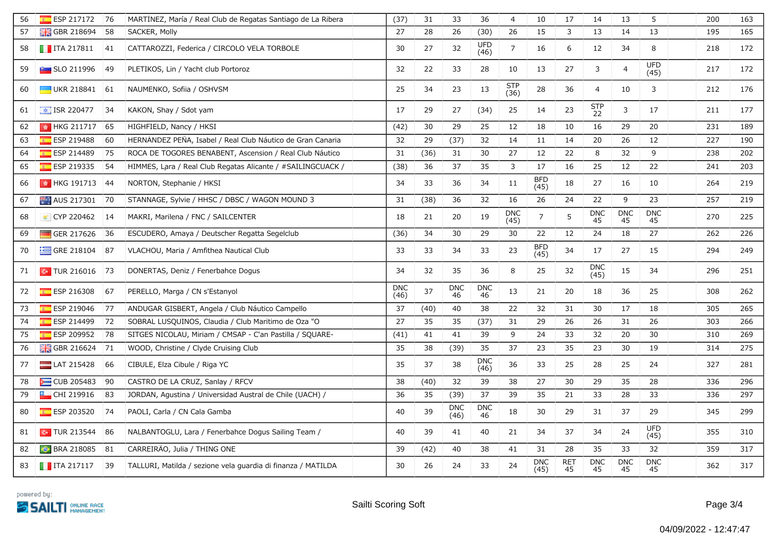| 56 | ESP 217172                      | 76 | MARTINEZ, María / Real Club de Regatas Santiago de La Ribera | (37)               | 31   | 33                 | 36                 | $\overline{4}$     | 10                 | 17               | 14                 | 13               | 5                  | 200 | 163 |
|----|---------------------------------|----|--------------------------------------------------------------|--------------------|------|--------------------|--------------------|--------------------|--------------------|------------------|--------------------|------------------|--------------------|-----|-----|
| 57 | <b>H</b> GBR 218694             | 58 | SACKER, Molly                                                | 27                 | 28   | 26                 | (30)               | 26                 | 15                 | 3                | 13                 | 14               | 13                 | 195 | 165 |
| 58 | $\blacksquare$ ITA 217811       | 41 | CATTAROZZI, Federica / CIRCOLO VELA TORBOLE                  | 30                 | 27   | 32                 | <b>UFD</b><br>(46) | $\overline{7}$     | 16                 | 6                | 12                 | 34               | 8                  | 218 | 172 |
| 59 | <b>SLO 211996</b>               | 49 | PLETIKOS, Lin / Yacht club Portoroz                          | 32                 | 22   | 33                 | 28                 | 10                 | 13                 | 27               | 3                  | $\overline{4}$   | <b>UFD</b><br>(45) | 217 | 172 |
| 60 | $\Box$ UKR 218841               | 61 | NAUMENKO, Sofiia / OSHVSM                                    | 25                 | 34   | 23                 | 13                 | <b>STP</b><br>(36) | 28                 | 36               | $\overline{4}$     | 10               | 3                  | 212 | 176 |
| 61 | $\frac{1}{2}$ ISR 220477        | 34 | KAKON, Shay / Sdot yam                                       | 17                 | 29   | 27                 | (34)               | 25                 | 14                 | 23               | <b>STP</b><br>22   | 3                | 17                 | 211 | 177 |
| 62 | HKG 211717 65                   |    | HIGHFIELD, Nancy / HKSI                                      | (42)               | 30   | 29                 | 25                 | 12                 | 18                 | 10               | 16                 | 29               | 20                 | 231 | 189 |
| 63 | ESP 219488                      | 60 | HERNANDEZ PEÑA, Isabel / Real Club Náutico de Gran Canaria   | 32                 | 29   | (37)               | 32                 | 14                 | 11                 | 14               | 20                 | 26               | 12                 | 227 | 190 |
| 64 | ESP 214489                      | 75 | ROCA DE TOGORES BENABENT, Ascension / Real Club Náutico      | 31                 | (36) | 31                 | 30                 | 27                 | 12                 | 22               | 8                  | 32               | 9                  | 238 | 202 |
| 65 | $E$ ESP 219335                  | 54 | HIMMES, Lara / Real Club Regatas Alicante / #SAILINGCUACK /  | (38)               | 36   | 37                 | 35                 | 3                  | 17                 | 16               | 25                 | 12               | 22                 | 241 | 203 |
| 66 | $\frac{1}{2}$ HKG 191713 44     |    | NORTON, Stephanie / HKSI                                     | 34                 | 33   | 36                 | 34                 | 11                 | <b>BFD</b><br>(45) | 18               | 27                 | 16               | 10                 | 264 | 219 |
| 67 | AUS 217301                      | 70 | STANNAGE, Sylvie / HHSC / DBSC / WAGON MOUND 3               | 31                 | (38) | 36                 | 32                 | 16                 | 26                 | 24               | 22                 | 9                | 23                 | 257 | 219 |
| 68 | CYP 220462                      | 14 | MAKRI, Marilena / FNC / SAILCENTER                           | 18                 | 21   | 20                 | 19                 | <b>DNC</b><br>(45) | $\overline{7}$     | 5                | <b>DNC</b><br>45   | <b>DNC</b><br>45 | <b>DNC</b><br>45   | 270 | 225 |
| 69 | GER 217626                      | 36 | ESCUDERO, Amaya / Deutscher Regatta Segelclub                | (36)               | 34   | 30                 | 29                 | 30                 | 22                 | 12               | 24                 | 18               | 27                 | 262 | 226 |
| 70 | $\equiv$ GRE 218104             | 87 | VLACHOU, Maria / Amfithea Nautical Club                      | 33                 | 33   | 34                 | 33                 | 23                 | <b>BFD</b><br>(45) | 34               | 17                 | 27               | 15                 | 294 | 249 |
| 71 | $\sim$ TUR 216016 73            |    | DONERTAS, Deniz / Fenerbahce Dogus                           | 34                 | 32   | 35                 | 36                 | 8                  | 25                 | 32               | <b>DNC</b><br>(45) | 15               | 34                 | 296 | 251 |
| 72 | $E = ESP 216308$                | 67 | PERELLO, Marga / CN s'Estanyol                               | <b>DNC</b><br>(46) | 37   | <b>DNC</b><br>46   | <b>DNC</b><br>46   | 13                 | 21                 | 20               | 18                 | 36               | 25                 | 308 | 262 |
| 73 | ESP 219046                      | 77 | ANDUGAR GISBERT, Angela / Club Náutico Campello              | 37                 | (40) | 40                 | 38                 | 22                 | 32                 | 31               | 30                 | 17               | 18                 | 305 | 265 |
| 74 | ESP 214499                      | 72 | SOBRAL LUSQUIÑOS, Claudia / Club Maritimo de Oza "O          | 27                 | 35   | 35                 | (37)               | 31                 | 29                 | 26               | 26                 | 31               | 26                 | 303 | 266 |
| 75 | $E = ESP 209952$                | 78 | SITGES NICOLAU, Miriam / CMSAP - C'an Pastilla / SQUARE-     | (41)               | 41   | 41                 | 39                 | 9                  | 24                 | 33               | 32                 | 20               | 30                 | 310 | 269 |
| 76 | $\frac{100}{100}$ GBR 216624 71 |    | WOOD, Christine / Clyde Cruising Club                        | 35                 | 38   | (39)               | 35                 | 37                 | 23                 | 35               | 23                 | 30               | 19                 | 314 | 275 |
| 77 | LAT 215428                      | 66 | CIBULE, Elza Cibule / Riga YC                                | 35                 | 37   | 38                 | <b>DNC</b><br>(46) | 36                 | 33                 | 25               | 28                 | 25               | 24                 | 327 | 281 |
| 78 | CUB 205483                      | 90 | CASTRO DE LA CRUZ, Sanlay / RFCV                             | 38                 | (40) | 32                 | 39                 | 38                 | 27                 | 30               | 29                 | 35               | 28                 | 336 | 296 |
| 79 | CHI 219916                      | 83 | JORDAN, Agustina / Universidad Austral de Chile (UACH) /     | 36                 | 35   | (39)               | 37                 | 39                 | 35                 | 21               | 33                 | 28               | 33                 | 336 | 297 |
| 80 | <b>ESP 203520</b>               | 74 | PAOLI, Carla / CN Cala Gamba                                 | 40                 | 39   | <b>DNC</b><br>(46) | <b>DNC</b><br>46   | 18                 | 30                 | 29               | 31                 | 37               | 29                 | 345 | 299 |
| 81 | $\sim$ TUR 213544               | 86 | NALBANTOGLU, Lara / Fenerbahce Dogus Sailing Team /          | 40                 | 39   | 41                 | 40                 | 21                 | 34                 | 37               | 34                 | 24               | <b>UFD</b><br>(45) | 355 | 310 |
| 82 | BRA 218085 81                   |    | CARREIRAO, Julia / THING ONE                                 | 39                 | (42) | 40                 | 38                 | 41                 | 31                 | 28               | 35                 | 33               | 32                 | 359 | 317 |
| 83 | $\blacksquare$ ITA 217117       | 39 | TALLURI, Matilda / sezione vela guardia di finanza / MATILDA | 30                 | 26   | 24                 | 33                 | 24                 | <b>DNC</b><br>(45) | <b>RET</b><br>45 | <b>DNC</b><br>45   | <b>DNC</b><br>45 | <b>DNC</b><br>45   | 362 | 317 |